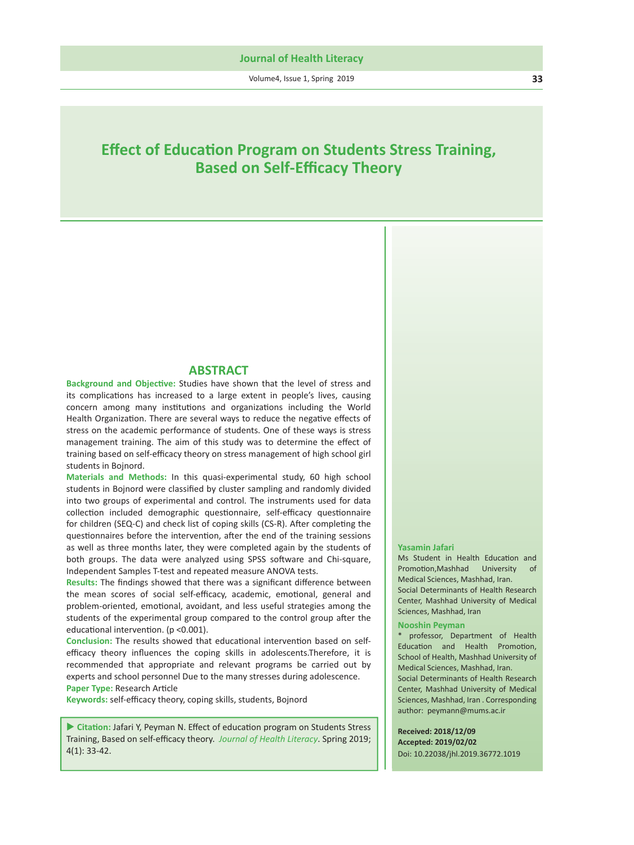Volume4, Issue 1, Spring 2019 **33**

# **E ffect of Educa tion Program on Students Stress Training, Based on Self-E fficacy Theory**

# **ABSTRACT**

**Background and Objec tive:** Studies have shown that the level of stress and its complica tions has increased to a large extent in people's lives, causing concern among many institutions and organizations including the World Health Organization. There are several ways to reduce the negative effects of stress on the academic performance of students. One of these ways is stress management training. The aim of this study was to determine the e ffect of training based on self-e fficacy theory on stress management of high school girl students in Bojnord.

**Materials and Methods:** In this quasi-experimental study, 60 high school students in Bojnord were classi fied by cluster sampling and randomly divided into two groups of experimental and control. The instruments used for data collec tion included demographic ques tionnaire, self-e fficacy ques tionnaire for children (SEQ-C) and check list of coping skills (CS-R). A fter comple ting the questionnaires before the intervention, after the end of the training sessions as well as three months later, they were completed again by the students of both groups. The data were analyzed using SPSS so ftware and Chi-square, Independent Samples T-test and repeated measure ANOVA tests.

Results: The findings showed that there was a significant difference between the mean scores of social self-e fficacy, academic, emo tional, general and problem-oriented, emo tional, avoidant, and less useful strategies among the students of the experimental group compared to the control group a fter the educational intervention. (p <0.001).

Conclusion: The results showed that educational intervention based on selfefficacy theory influences the coping skills in adolescents.Therefore, it is recommended that appropriate and relevant programs be carried out by experts and school personnel Due to the many stresses during adolescence. Paper Type: Research Article

**Keywords:** self-e fficacy theory, coping skills, students, Bojnord

Citation: Jafari Y, Peyman N. Effect of education program on Students Stress Training, Based on self-e fficacy theory. *Journal of Health Literacy*. Spring 2019; 4(1): 33-42. Doi: 10.22038/jhl.2019.40178.1052

#### **Yasamin Jafari**

Ms Student in Health Educa tion and Promo tion,Mashhad University of Medical Sciences, Mashhad, Iran. Social Determinants of Health Research Center, Mashhad University of Medical Sciences, Mashhad, Iran

#### **Nooshin Peyman**

\* professor, Department of Health Educa tion and Health Promo tion, School of Health, Mashhad University of Medical Sciences, Mashhad, Iran. Social Determinants of Health Research Center, Mashhad University of Medical Sciences, Mashhad, Iran . Corresponding author: peymann@mums.ac.ir

**Received: 2018/12/25 Accepted: 2019/0 3/12**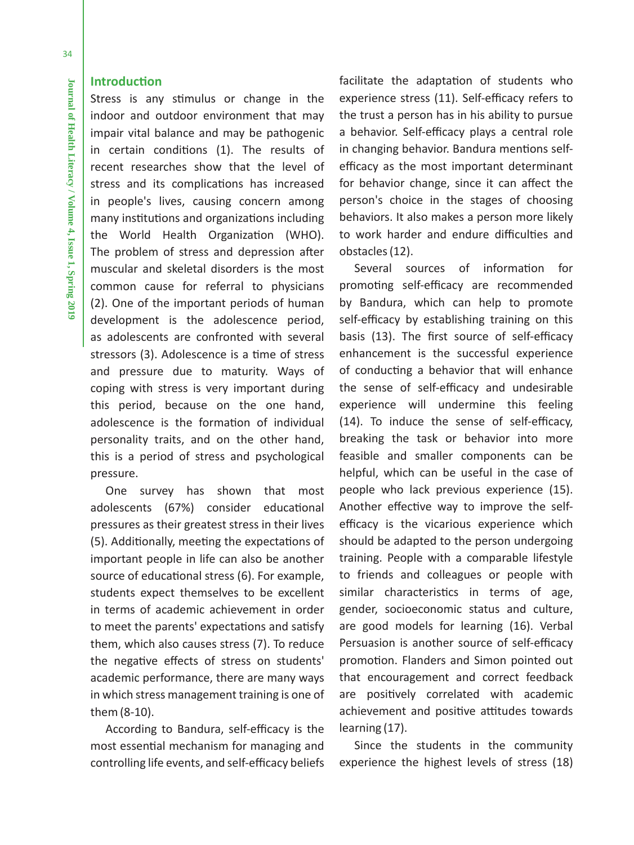### **Introduction**

Stress is any stimulus or change in the indoor and outdoor environment that may impair vital balance and may be pathogenic in certain conditions (1). The results of recent researches show that the level of stress and its complications has increased in people's lives, causing concern among many institutions and organizations including the World Health Organization (WHO). The problem of stress and depression after muscular and skeletal disorders is the most common cause for referral to physicians (2). One of the important periods of human development is the adolescence period, as adolescents are confronted with several stressors (3). Adolescence is a time of stress and pressure due to maturity. Ways of coping with stress is very important during this period, because on the one hand, adolescence is the formation of individual personality traits, and on the other hand, this is a period of stress and psychological pressure.

One survey has shown that most adolescents (67%) consider educational pressures as their greatest stress in their lives (5). Additionally, meeting the expectations of important people in life can also be another source of educational stress (6). For example, students expect themselves to be excellent in terms of academic achievement in order to meet the parents' expectations and satisfy them, which also causes stress (7). To reduce the negative effects of stress on students' academic performance, there are many ways in which stress management training is one of them (8-10).

According to Bandura, self-efficacy is the most essential mechanism for managing and controlling life events, and self-efficacy beliefs facilitate the adaptation of students who experience stress (11). Self-efficacy refers to the trust a person has in his ability to pursue a behavior. Self-efficacy plays a central role in changing behavior. Bandura mentions selfefficacy as the most important determinant for behavior change, since it can affect the person's choice in the stages of choosing behaviors. It also makes a person more likely to work harder and endure difficulties and obstacles (12).

Several sources of information for promoting self-efficacy are recommended by Bandura, which can help to promote self-efficacy by establishing training on this basis (13). The first source of self-efficacy enhancement is the successful experience of conducting a behavior that will enhance the sense of self-efficacy and undesirable experience will undermine this feeling (14). To induce the sense of self-efficacy, breaking the task or behavior into more feasible and smaller components can be helpful, which can be useful in the case of people who lack previous experience (15). Another effective way to improve the selfefficacy is the vicarious experience which should be adapted to the person undergoing training. People with a comparable lifestyle to friends and colleagues or people with similar characteristics in terms of age, gender, socioeconomic status and culture, are good models for learning (16). Verbal Persuasion is another source of self-efficacy promotion. Flanders and Simon pointed out that encouragement and correct feedback are positively correlated with academic achievement and positive attitudes towards learning (17).

Since the students in the community experience the highest levels of stress (18)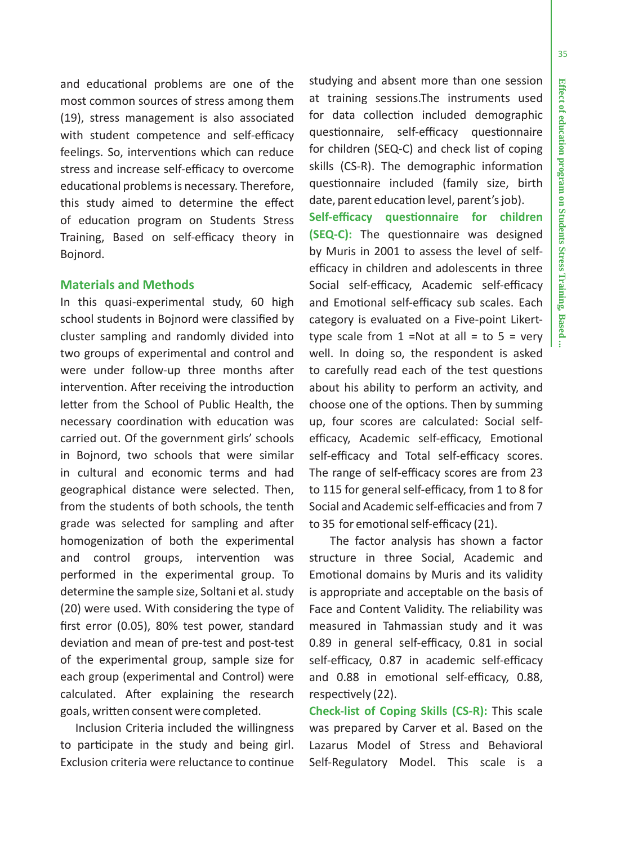÷

and educa tional problems are one of the most common sources of stress among them (19), stress management is also associated with student competence and self-e fficacy feelings. So, interventions which can reduce stress and increase self-e fficacy to overcome educa tional problems is necessary. Therefore, this study aimed to determine the e ffect of educa tion program on Students Stress Training, Based on self-e fficacy theory in Bojnord.

### **Materials and Methods**

In this quasi-experimental study, 60 high school students in Bojnord were classi fied by cluster sampling and randomly divided into two groups of experimental and control and were under follow-up three months a fter interven tion. A fter receiving the introduc tion le tter from the School of Public Health, the necessary coordina tion with educa tion was carried out. Of the government girls' schools in Bojnord, two schools that were similar in cultural and economic terms and had geographical distance were selected. Then, from the students of both schools, the tenth grade was selected for sampling and a fter homogeniza tion of both the experimental and control groups, interven tion was performed in the experimental group. To determine the sample size, Soltani et al. study (20) were used. With considering the type of first error (0.05), 80% test power, standard devia tion and mean of pre-test and post-test of the experimental group, sample size for each group (experimental and Control) were calculated. A fter explaining the research goals, wri tten consent were completed.

Inclusion Criteria included the willingness to par ticipate in the study and being girl. Exclusion criteria were reluctance to con tinue

studying and absent more than one session at training sessions.The instruments used for data collec tion included demographic ques tionnaire, self-e fficacy ques tionnaire for children (SEQ-C) and check list of coping skills (CS-R). The demographic informa tion ques tionnaire included (family size, birth date, parent educa tion level, parent's job).

**Self-e fficacy ques tionnaire for children (SEQ-C):** The ques tionnaire was designed by Muris in 2001 to assess the level of self efficacy in children and adolescents in three Social self-e fficacy, Academic self-e fficacy and Emo tional self-e fficacy sub scales. Each category is evaluated on a Five-point Likerttype scale from  $1 = Not$  at all = to  $5 = very$ well. In doing so, the respondent is asked to carefully read each of the test questions about his ability to perform an ac tivity, and choose one of the op tions. Then by summing up, four scores are calculated: Social self efficacy, Academic self-efficacy, Emotional self-e fficacy and Total self-e fficacy scores. The range of self-e fficacy scores are from 23 to 115 for general self-e fficacy, from 1 to 8 for Social and Academic self-e fficacies and from 7 to 35 for emo tional self-e fficacy (21).

 The factor analysis has shown a factor structure in three Social, Academic and Emo tional domains by Muris and its validity is appropriate and acceptable on the basis of Face and Content Validity. The reliability was measured in Tahmassian study and it was 0.89 in general self-e fficacy, 0.81 in social self-e fficacy, 0.87 in academic self-e fficacy and 0.88 in emo tional self-e fficacy, 0.88, respec tively (22).

**Check-list of Coping Skills (CS-R):** This scale was prepared by Carver et al. Based on the Lazarus Model of Stress and Behavioral Self-Regulatory Model. This scale is a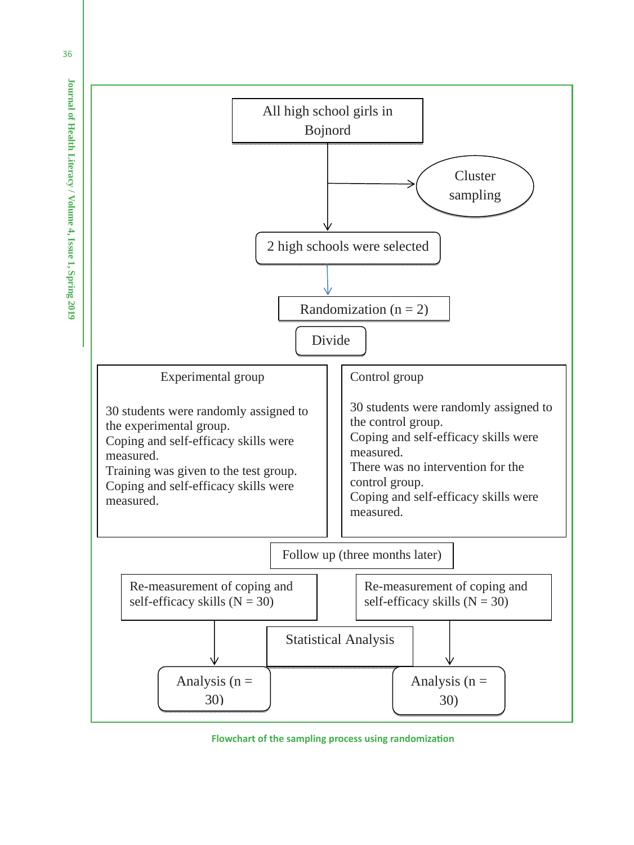

 **Flowchart of the sampling process using randomization**

36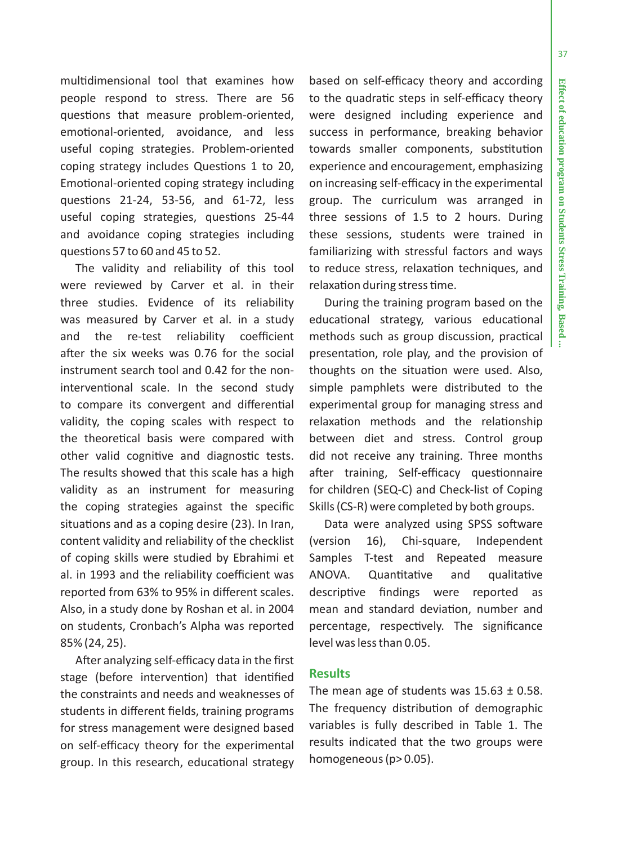37

mul tidimensional tool that examines how people respond to stress. There are 56 ques tions that measure problem-oriented, emo tional-oriented, avoidance, and less useful coping strategies. Problem-oriented coping strategy includes Ques tions 1 to 20, Emo tional-oriented coping strategy including ques tions 21-24, 53-56, and 61-72, less useful coping strategies, ques tions 25-44 and avoidance coping strategies including ques tions 57 to 60 and 45 to 52.

The validity and reliability of this tool were reviewed by Carver et al. in their three studies. Evidence of its reliability was measured by Carver et al. in a study and the re-test reliability coe fficient a fter the six weeks was 0.76 for the social instrument search tool and 0.42 for the noninterventional scale. In the second study to compare its convergent and di fferen tial validity, the coping scales with respect to the theore tical basis were compared with other valid cogni tive and diagnos tic tests. The results showed that this scale has a high validity as an instrument for measuring the coping strategies against the speci fic situa tions and as a coping desire (23). In Iran, content validity and reliability of the checklist of coping skills were studied by Ebrahimi et al. in 1993 and the reliability coe fficient was reported from 63% to 95% in di fferent scales. Also, in a study done by Roshan et al. in 2004 on students, Cronbach's Alpha was reported 85% (24, 25).

After analyzing self-e fficacy data in the first stage (before interven tion) that iden ti fied the constraints and needs and weaknesses of students in di fferent fields, training programs for stress management were designed based on self-e fficacy theory for the experimental group. In this research, educa tional strategy

based on self-e fficacy theory and according to the quadratic steps in self-efficacy theory were designed including experience and success in performance, breaking behavior towards smaller components, substitution experience and encouragement, emphasizing on increasing self-e fficacy in the experimental group. The curriculum was arranged in three sessions of 1.5 to 2 hours. During these sessions, students were trained in familiarizing with stressful factors and ways to reduce stress, relaxation techniques, and relaxa tion during stress time.

During the training program based on the educa tional strategy, various educa tional methods such as group discussion, prac tical presenta tion, role play, and the provision of thoughts on the situation were used. Also, simple pamphlets were distributed to the experimental group for managing stress and relaxa tion methods and the rela tionship between diet and stress. Control group did not receive any training. Three months after training, Self-efficacy questionnaire for children (SEQ-C) and Check-list of Coping Skills (CS-R) were completed by both groups.

Data were analyzed using SPSS so ftware (version 16), Chi-square, Independent Samples T-test and Repeated measure ANOVA. Quantitative tive and qualita tive descrip tive findings were reported as mean and standard devia tion, number and percentage, respec tively. The signi ficance level was less than 0.05.

## **Results**

The mean age of students was  $15.63 \pm 0.58$ . The frequency distribu tion of demographic variables is fully described in Table 1. The results indicated that the two groups were homogeneous (p> 0.05).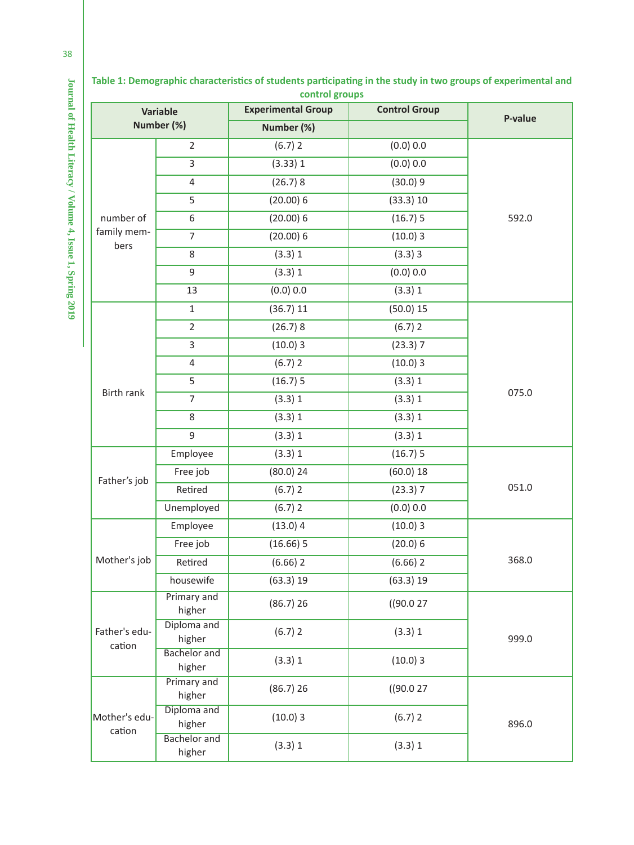| control groups                |                               |                           |                      |         |  |  |  |  |
|-------------------------------|-------------------------------|---------------------------|----------------------|---------|--|--|--|--|
| <b>Variable</b><br>Number (%) |                               | <b>Experimental Group</b> | <b>Control Group</b> | P-value |  |  |  |  |
|                               |                               | Number (%)                |                      |         |  |  |  |  |
|                               | $\overline{2}$                | 2(6.7)                    | (0.0) 0.0            |         |  |  |  |  |
| number of                     | $\overline{3}$                | 1(3.33)                   | (0.0) 0.0            |         |  |  |  |  |
|                               | $\overline{4}$                | 8(26.7)                   | 9(30.0)              |         |  |  |  |  |
|                               | 5                             | 6(20.00)<br>10(33.3)      |                      |         |  |  |  |  |
|                               | 6                             | 6(20.00)                  | 5(16.7)              | 592.0   |  |  |  |  |
| family mem-<br>bers           | $\overline{7}$                | 6(20.00)                  | 3(10.0)              |         |  |  |  |  |
|                               | 8                             | 1(3.3)                    | 3(3.3)               |         |  |  |  |  |
|                               | $\mathsf g$                   | 1(3.3)<br>(0.0) 0.0       |                      |         |  |  |  |  |
|                               | 13                            | (0.0) 0.0                 | 1(3.3)               |         |  |  |  |  |
|                               | $\mathbf 1$                   | 11(36.7)                  | 5(50.0)              |         |  |  |  |  |
|                               | $\overline{2}$                | 8(26.7)                   | 2(6.7)               |         |  |  |  |  |
|                               | 3                             | 3(10.0)                   | 7(23.3)              |         |  |  |  |  |
|                               | $\overline{4}$                | 2(6.7)                    | 3(10.0)              |         |  |  |  |  |
|                               | 5                             | 5(16.7)                   | 1(3.3)               |         |  |  |  |  |
| Birth rank                    | $\overline{7}$                | 1(3.3)                    | 1(3.3)               | 075.0   |  |  |  |  |
|                               | 8                             | 1(3.3)                    | 1(3.3)               |         |  |  |  |  |
|                               | 9                             | 1(3.3)                    | 1(3.3)               |         |  |  |  |  |
|                               | Employee                      | 1(3.3)                    | 5(16.7)              |         |  |  |  |  |
| Father's job                  | Free job                      | 24(80.0)                  | 18(60.0)             |         |  |  |  |  |
|                               | Retired                       | 2(6.7)<br>7(23.3)         |                      | 051.0   |  |  |  |  |
|                               | Unemployed                    | 2(6.7)                    | (0.0) 0.0            |         |  |  |  |  |
|                               | Employee                      | 4(13.0)                   | 3(10.0)              |         |  |  |  |  |
|                               | Free job                      | 5(16.66)                  | 6(20.0)              |         |  |  |  |  |
| Mother's job                  | Retired                       | 2(6.66)                   | 2(6.66)              | 368.0   |  |  |  |  |
|                               | housewife                     | 19(63.3)                  | 19(63.3)             |         |  |  |  |  |
| Father's edu-<br>cation       | Primary and<br>higher         | 26(86.7)                  | 27(90.0)             |         |  |  |  |  |
|                               | Diploma and<br>higher         | 2(6.7)                    | 1(3.3)               | 999.0   |  |  |  |  |
|                               | <b>Bachelor</b> and<br>higher | 1(3.3)                    | 3(10.0)              |         |  |  |  |  |
| Mother's edu-<br>cation       | Primary and<br>higher         | 26 (86.7)                 | 27(90.0)             |         |  |  |  |  |
|                               | Diploma and<br>higher         | 3(10.0)                   | 2(6.7)               | 896.0   |  |  |  |  |
|                               | <b>Bachelor</b> and<br>higher | 1(3.3)                    | 1(3.3)               |         |  |  |  |  |

**Table 1: Demographic characteristics of students participating in the study in two groups of experimental and** 

Journal of Health Literacy / Volume 4, Issue 1, Spring 2019 **Journal of Health Literacy / Volume 4, Issue 1, Spring 2019**

38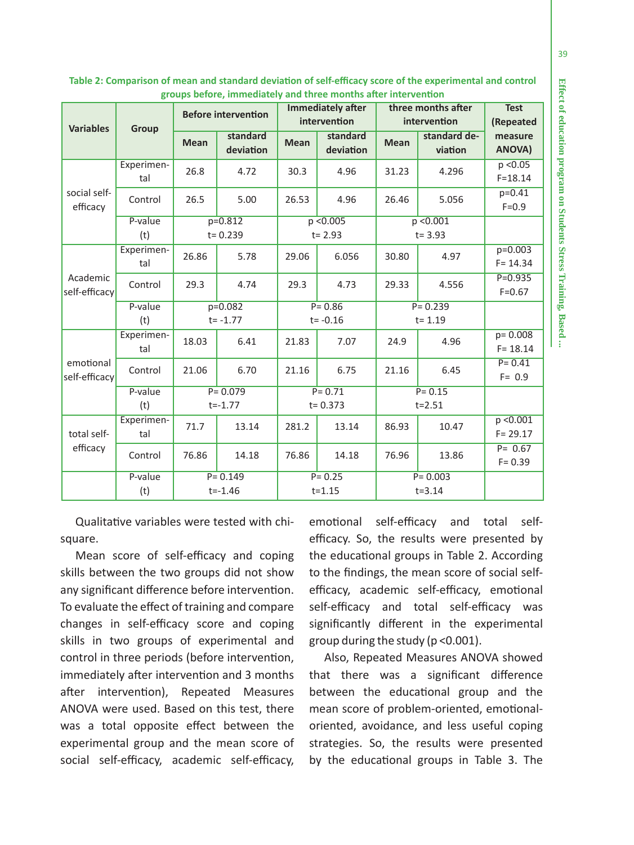|                            |                   | <b>Before intervention</b> |                       | <b>Immediately after</b><br>intervention |                       | three months after       |                         | <b>Test</b>                |
|----------------------------|-------------------|----------------------------|-----------------------|------------------------------------------|-----------------------|--------------------------|-------------------------|----------------------------|
| <b>Variables</b>           | Group             |                            |                       |                                          |                       | intervention             |                         | (Repeated                  |
|                            |                   | <b>Mean</b>                | standard<br>deviation | <b>Mean</b>                              | standard<br>deviation | <b>Mean</b>              | standard de-<br>viation | measure<br>ANOVA)          |
| social self-<br>efficacy   | Experimen-<br>tal | 26.8                       | 4.72                  | 30.3                                     | 4.96                  | 31.23                    | 4.296                   | p < 0.05<br>$F = 18.14$    |
|                            | Control           | 26.5                       | 5.00                  | 26.53                                    | 4.96                  | 26.46                    | 5.056                   | $p=0.41$<br>$F = 0.9$      |
|                            | P-value           | $p=0.812$                  |                       | p < 0.005                                |                       | p < 0.001                |                         |                            |
|                            | (t)               |                            | $t = 0.239$           |                                          | $t = 2.93$            | $t = 3.93$               |                         |                            |
| Academic<br>self-efficacy  | Experimen-<br>tal | 26.86                      | 5.78                  | 29.06                                    | 6.056                 | 30.80                    | 4.97                    | $p=0.003$<br>$F = 14.34$   |
|                            | Control           | 29.3                       | 4.74                  | 29.3                                     | 4.73                  | 29.33                    | 4.556                   | $P = 0.935$<br>$F = 0.67$  |
|                            | P-value           | $p=0.082$                  |                       | $P = 0.86$                               |                       | $P = 0.239$              |                         |                            |
|                            | (t)               | $t = -1.77$                |                       | $t = -0.16$                              |                       | $t = 1.19$               |                         |                            |
| emotional<br>self-efficacy | Experimen-<br>tal | 18.03                      | 6.41                  | 21.83                                    | 7.07                  | 24.9                     | 4.96                    | $p = 0.008$<br>$F = 18.14$ |
|                            | Control           | 21.06                      | 6.70                  | 21.16                                    | 6.75                  | 21.16                    | 6.45                    | $P = 0.41$<br>$F = 0.9$    |
|                            | P-value<br>(t)    | $P = 0.079$<br>$t = -1.77$ |                       | $P = 0.71$<br>$t = 0.373$                |                       | $P = 0.15$<br>$t = 2.51$ |                         |                            |
| total self-<br>efficacy    | Experimen-<br>tal | 71.7                       | 13.14                 | 281.2                                    | 13.14                 | 86.93                    | 10.47                   | p < 0.001<br>$F = 29.17$   |
|                            | Control           | 76.86                      | 14.18                 | 76.86                                    | 14.18                 | 76.96                    | 13.86                   | $P = 0.67$<br>$F = 0.39$   |
|                            | P-value           |                            | $P = 0.149$           | $P = 0.25$                               |                       | $P = 0.003$              |                         |                            |
|                            | (t)               | $t = -1.46$                |                       | $t = 1.15$                               |                       | $t = 3.14$               |                         |                            |

**Table 2: Comparison of mean and standard devia tion of self-e fficacy score of the experimental and control groups before, immediately and three months a fter interven tion**

Qualita tive variables were tested with chisquare.

Mean score of self-e fficacy and coping skills between the two groups did not show any signi ficant di fference before interven tion. To evaluate the e ffect of training and compare changes in self-e fficacy score and coping skills in two groups of experimental and control in three periods (before interven tion, immediately a fter interven tion and 3 months a fter interven tion), Repeated Measures ANOVA were used. Based on this test, there was a total opposite e ffect between the experimental group and the mean score of social self-e fficacy, academic self-e fficacy,

emo tional self-e fficacy and total selfefficacy. So, the results were presented by the educa tional groups in Table 2. According to the findings, the mean score of social selfefficacy, academic self-efficacy, emotional self-e fficacy and total self-e fficacy was signi ficantly di fferent in the experimental group during the study (p <0.001).

Also, Repeated Measures ANOVA showed that there was a signi ficant di fference between the educa tional group and the mean score of problem-oriented, emo tionaloriented, avoidance, and less useful coping strategies. So, the results were presented by the educa tional groups in Table 3. The **Effect of education program on Students Stress Training, Based ...**

Effect of education program on Students Stress Training, Based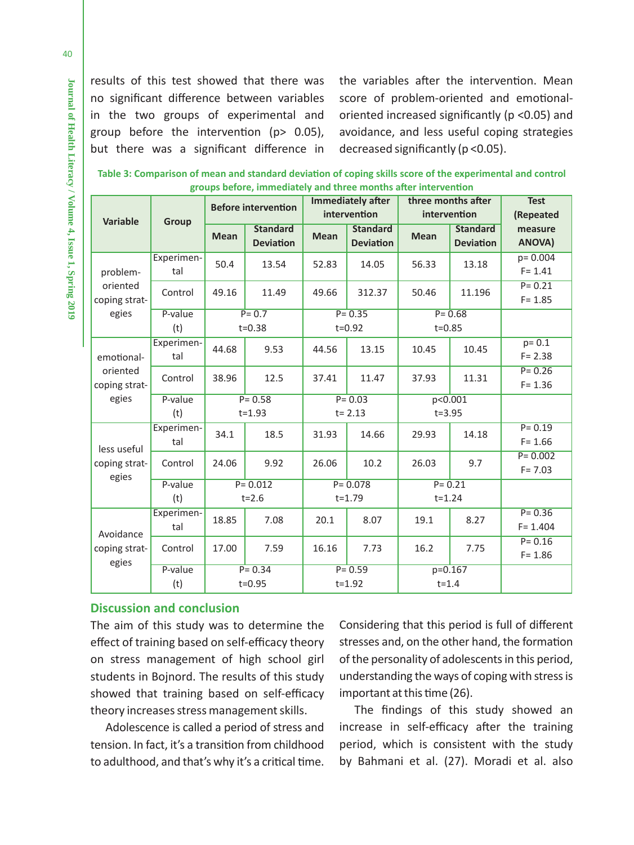results of this test showed that there was no significant difference between variables in the two groups of experimental and group before the intervention (p> 0.05), but there was a significant difference in the variables after the intervention. Mean score of problem-oriented and emotionaloriented increased significantly (p <0.05) and avoidance, and less useful coping strategies decreased significantly (p <0.05).

| Table 3: Comparison of mean and standard deviation of coping skills score of the experimental and control |                                                                |  |  |
|-----------------------------------------------------------------------------------------------------------|----------------------------------------------------------------|--|--|
|                                                                                                           | groups before, immediately and three months after intervention |  |  |

|                                         |                   | <b>Before intervention</b> |                                     | <b>Immediately after</b>  |                                     | three months after       |                                     | <b>Test</b>               |
|-----------------------------------------|-------------------|----------------------------|-------------------------------------|---------------------------|-------------------------------------|--------------------------|-------------------------------------|---------------------------|
| <b>Variable</b>                         | Group             |                            |                                     | intervention              |                                     | intervention             |                                     | (Repeated                 |
|                                         |                   | <b>Mean</b>                | <b>Standard</b><br><b>Deviation</b> | <b>Mean</b>               | <b>Standard</b><br><b>Deviation</b> | <b>Mean</b>              | <b>Standard</b><br><b>Deviation</b> | measure<br>ANOVA)         |
| problem-<br>oriented<br>coping strat-   | Experimen-<br>tal | 50.4                       | 13.54                               | 52.83                     | 14.05                               | 56.33                    | 13.18                               | $p = 0.004$<br>$F = 1.41$ |
|                                         | Control           | 49.16                      | 11.49                               | 49.66                     | 312.37                              | 50.46                    | 11.196                              | $P = 0.21$<br>$F = 1.85$  |
| egies                                   | P-value           | $P = 0.7$                  |                                     | $P = 0.35$                |                                     | $P = 0.68$               |                                     |                           |
|                                         | (t)               |                            | $t = 0.38$                          |                           | $t = 0.92$                          | $t = 0.85$               |                                     |                           |
| emotional-<br>oriented<br>coping strat- | Experimen-<br>tal | 44.68                      | 9.53                                | 44.56                     | 13.15                               | 10.45                    | 10.45                               | $p = 0.1$<br>$F = 2.38$   |
|                                         | Control           | 38.96                      | 12.5                                | 37.41                     | 11.47                               | 37.93                    | 11.31                               | $P = 0.26$<br>$F = 1.36$  |
| egies                                   | P-value           | $P = 0.58$                 |                                     | $P = 0.03$                |                                     | p < 0.001                |                                     |                           |
|                                         | (t)               | $t = 1.93$                 |                                     | $t = 2.13$                |                                     | $t = 3.95$               |                                     |                           |
| less useful<br>coping strat-<br>egies   | Experimen-<br>tal | 34.1                       | 18.5                                | 31.93                     | 14.66                               | 29.93                    | 14.18                               | $P = 0.19$<br>$F = 1.66$  |
|                                         | Control           | 24.06                      | 9.92                                | 26.06                     | 10.2                                | 26.03                    | 9.7                                 | $P = 0.002$<br>$F = 7.03$ |
|                                         | P-value<br>(t)    | $P = 0.012$<br>$t = 2.6$   |                                     | $P = 0.078$<br>$t = 1.79$ |                                     | $P = 0.21$<br>$t = 1.24$ |                                     |                           |
| Avoidance<br>coping strat-<br>egies     | Experimen-<br>tal | 18.85                      | 7.08                                | 20.1                      | 8.07                                | 19.1                     | 8.27                                | $P = 0.36$<br>$F = 1.404$ |
|                                         | Control           | 17.00                      | 7.59                                | 16.16                     | 7.73                                | 16.2                     | 7.75                                | $P = 0.16$<br>$F = 1.86$  |
|                                         | P-value<br>(t)    | $P = 0.34$<br>$t = 0.95$   |                                     | $P = 0.59$<br>$t = 1.92$  |                                     | $p=0.167$<br>$t = 1.4$   |                                     |                           |

# **Discussion and conclusion**

The aim of this study was to determine the effect of training based on self-efficacy theory on stress management of high school girl students in Bojnord. The results of this study showed that training based on self-efficacy theory increases stress management skills.

Adolescence is called a period of stress and tension. In fact, it's a transition from childhood to adulthood, and that's why it's a critical time. Considering that this period is full of different stresses and, on the other hand, the formation of the personality of adolescents in this period, understanding the ways of coping with stress is important at this time (26).

The findings of this study showed an increase in self-efficacy after the training period, which is consistent with the study by Bahmani et al. (27). Moradi et al. also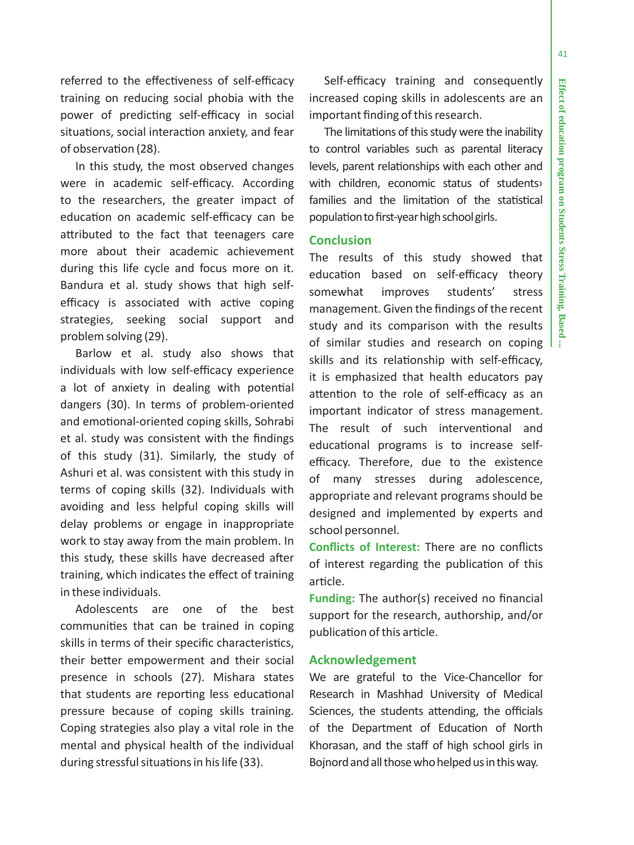41

referred to the e ffec tiveness of self-e fficacy training on reducing social phobia with the power of predic ting self-e fficacy in social situa tions, social interac tion anxiety, and fear of observa tion (28).

In this study, the most observed changes were in academic self-e fficacy. According to the researchers, the greater impact of educa tion on academic self-e fficacy can be a ttributed to the fact that teenagers care more about their academic achievement during this life cycle and focus more on it. Bandura et al. study shows that high self efficacy is associated with active coping strategies, seeking social support and problem solving (29).

Barlow et al. study also shows that individuals with low self-e fficacy experience a lot of anxiety in dealing with poten tial dangers (30). In terms of problem-oriented and emo tional-oriented coping skills, Sohrabi et al. study was consistent with the findings of this study (31). Similarly, the study of Ashuri et al. was consistent with this study in terms of coping skills (32). Individuals with avoiding and less helpful coping skills will delay problems or engage in inappropriate work to stay away from the main problem. In this study, these skills have decreased a fter training, which indicates the e ffect of training in these individuals.

Adolescents are one of the best communi ties that can be trained in coping skills in terms of their speci fic characteris tics, their be tter empowerment and their social presence in schools (27). Mishara states that students are repor ting less educa tional pressure because of coping skills training. Coping strategies also play a vital role in the mental and physical health of the individual during stressful situa tions in his life (33).

Self-e fficacy training and consequently increased coping skills in adolescents are an important finding of this research.

The limita tions of this study were the inability to control variables such as parental literacy levels, parent relationships with each other and with children, economic status of students› families and the limitation of the statistical popula tion to first-year high school girls.

# **Conclusion**

The results of this study showed that educa tion based on self-e fficacy theory somewhat improves students' stress management. Given the findings of the recent study and its comparison with the results of similar studies and research on coping skills and its rela tionship with self-e fficacy, it is emphasized that health educators pay attention to the role of self-efficacy as an important indicator of stress management. The result of such interven tional and educa tional programs is to increase selfefficacy. Therefore, due to the existence of many stresses during adolescence, appropriate and relevant programs should be designed and implemented by experts and school personnel.

**Con flicts of Interest:** There are no con flicts of interest regarding the publication of this ar ticle.

**Funding:** The author(s) received no financial support for the research, authorship, and/or publica tion of this ar ticle.

#### **Acknowledgement**

We are grateful to the Vice-Chancellor for Research in Mashhad University of Medical Sciences, the students attending, the officials of the Department of Educa tion of North Khorasan, and the sta ff of high school girls in Bojnord and all those who helped us in this way.